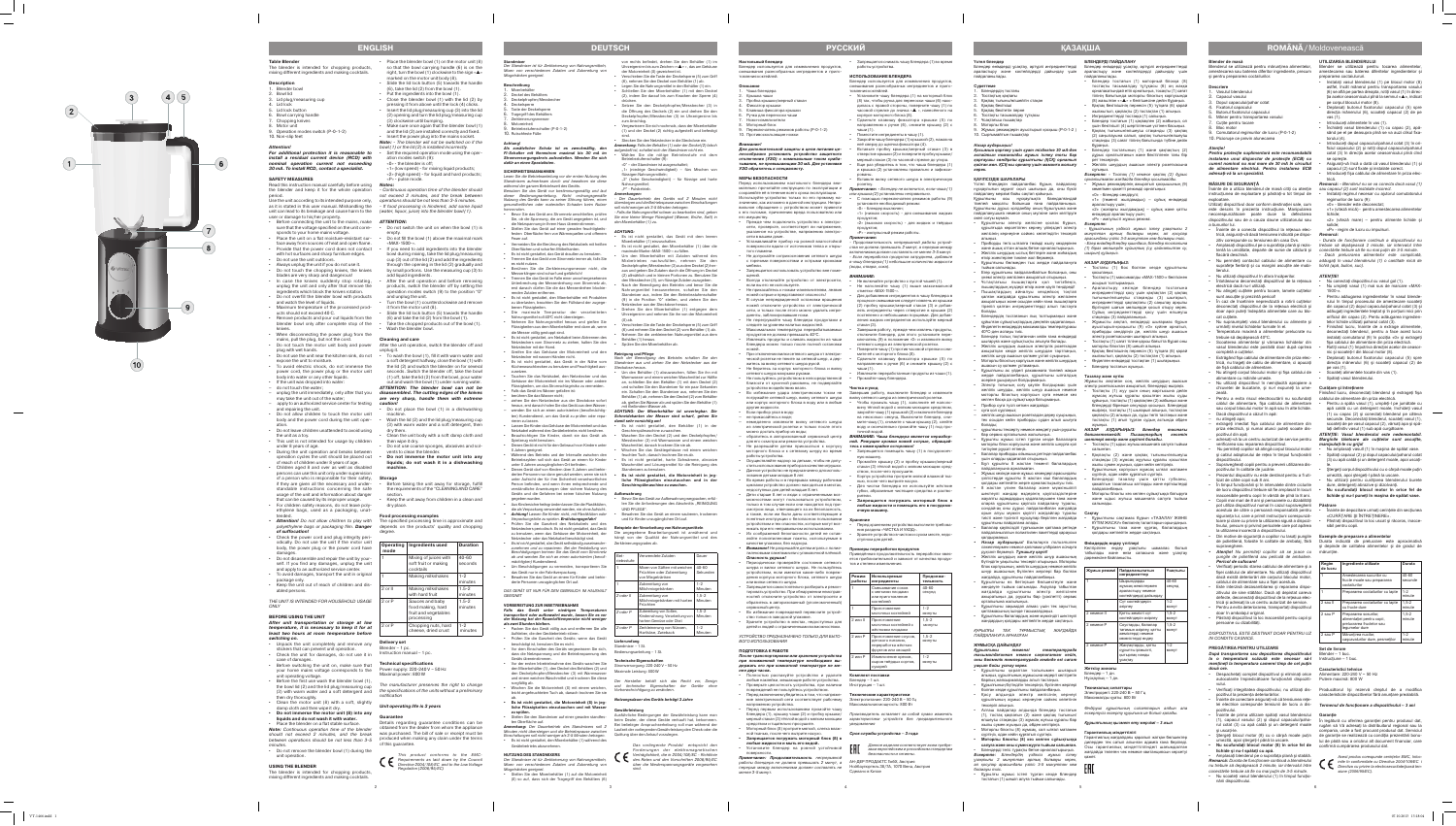# **Blender de masă**

Blenderul se utilizează pentru măruntirea alimentelor amestecarea sau baterea diferitor ingrediente, precum şi pentru prepararea coctailurilor.

**Descriere**

- Vasulul blenderului Capacul vasului
- Dopul capacului/pahar cotat
- Fixatorul capacului Butonul fixatorului capacului
- Mâner pentru transportarea vasulu
- Cuțite pentru tocare
- . Bloc motor 2omutatorul regimurilor de lucru (P-0-1-2)
- 10. Picioruşe ce previn alunecarea

Înainte de a utiliza blenderul de masă citiţi cu atenţie *sau capacul (2) sunt instalate incorect.* instructiunea de exploatare și păstrați-o tot timpul de exploatare

*Atenţie! Pentru protecţie suplimentară este recomandabilă instalarea unui disjunctor de protecţie (ECB) cu curent nominal nu mai mare de 30 mA în circuitul de alimentare electrică. Pentru instalarea ECB adresaţi-vă la un specialist.*

## **MĂSURI DE SIGURANŢĂ**

Utilizaţi dispozitivul doar conform destinaţiei sale, cum este descris în prezenta instrucţiune. Manipularea necorespunzătoare poate duce la defectarea dispozitivului sau de a cauza daune utilizatorului sau a bunurilor lui.

- Înainte de a conecta dispozitivul la reţeaua elec trică, asiguraţi-vă dacă tensiunea indicată pe dispo zitiv corespunde cu tensiunea din casa Dvs.
- Amplasaţi dispozitivul pe o suprafaţa plană şi rezis flacără deschisă.
- Nu permiteţi contactul cablului de alimentare cu *adăugaţi în vasul blenderului (1) o cantitate mică de*  suprafețe fierbinți și cu margini ascuțite ale mobi- lichid (apă, bulion, suc). lierului.
- Nu utilizati dispozitivul în afara încăperilor. Întotdeauna deconectati dispozitivul de la reteaua
- electrică dacă nu-l utilizaţi. Nu atingeti cutitele pentru tocare, lamele cutitelor sunt ascuţite şi prezintă pericol!
- În caz de încetinire neprevăzută a rotirii cuțitelor deconectati dispozitivul de la reteaua electrică și doar apoi puteţi îndepărta alimentele care au blo cat cutitele
- Nu supraumpleţi vasul blenderului cu alimente şi urmăriţi nivelul lichidelor turnate în el. • Temperatura maximă a alimentelor prelucrate nu
- trebuie să depăşească 40ºС. Scoaterea alimentelor și vărsarea lichidelor din vasul blenderului este posibilă doar după oprirea
- completă a cutitelor. • Extrăgând fişa cablului de alimentare din priza elec trică, nu trageţi de cablu de alimentare, ci apucaţi
- de fişă cablului de alimentare. • Nu atingeţi corpul blocului motor şi fişa cablului de alimentare cu mâinile umede.
- Nu utilizaţi dispozitivul în nemijlocită apropiere a chiuvetei de bucatarie, şi nu-l expuneţi la ume -
- zeală. Pentru a evita riscul electrocutării nu scufundaţi cablul de alimentare, fişa cablului de alimentare sau corpul blocului motor în apă sau în alte lichide. • Dacă dispozitivul a căzut în apă:
- nu atingeti apa: – extrageţi imediat fişa cablului de alimentare din priza electrică, și numai atunci puteți scoate dis-
- pozitivul din apă; – adresaţi-vă la un centru autorizat de service pentru verificarea sau repararea dispozitivul.
- Nu permiteţi copiilor să atingă corpul blocului motor și cablul adaptorului de retea în timpul functionării spozitivului.
- Supravegheaţi copiii pentru a preveni utilizarea dis pozitivului în calitate de jucărie.
- Prezentul dispozitiv nu este destinat pentru a fi uti lizat de către copii sub 8 ani • În timpul funcţionării şi în intervalele dintre ciclurile
- de lucru dispozitivul trebuie să fie amplasat în locuri inaccesibile pentru copii în vârstă de pînă la 8 ani. Copiii mai mari de 8 ani și persoanele cu dizabilităț pot utiliza dispozitivul numai în cazul supravegherii acestuia de către o persoană responsabilă pentru siguranţa lui, care a primit instrucţiuni corespunză -
- toare şi clare cu privire la utilizarea sigură a dispozi tivului, precum şi privind pericolele care pot apărea la utilizarea incorectă a dispozitivului. • Din motive de siguranţă a copiilor nu lasaţi pungile **Exemple de preparare a alimentelor**
- de polietilenă, folosite în calitate de ambalaj, fără Durata indicată de prelucrare este aproximativă supraveghere. *• Atenţie! Nu permiteţi copiilor să se joace cu*
- *pungile de polietilenă sau peliculă de ambalare. Pericol de sufocare!*
- Verificaţi periodic starea cablului de alimentare şi a fisei cablului de alimentare. Nu utilizati dispozitivul dacă există deteriorări ale corpului blocului motor, cablului de alimentare sau a fişei acestuia.
- Este interzisă dezasamblarea şi repararea dispo zitivului de sine stătător. Dacă aţi depistat careva defecte, deconectaţi dispozitivul de la reţeaua elec trică şi adresaţi la un centru autorizat de service.
- Pentru a evita deteriorarea, transportați dispozitivul doar în ambalajul original. • Păstraţi dispozitivul la loc inaccesibil pentru copii şi
- persoane cu dizabilități. *DISPOZITIVUL ESTE DESTINAT DOAR PENTRU UZ*

tentă la umiditate, departe de surse de căldură şi *conectările trebuie să fie nu mai puţin de 3-5 minute. - Durata de funcţionare continuă a dispozitivului nu trebuie să depăşească 2 minute, iar intervalul între - Dacă prelucrarea alimentelor este complicată,* 

# *IN CONDITII CASNICE.*

Stergeti corpul dispozitivului cu o cârpă moale putin umezită, apoi ştergeţi-l până la uscare. Nu utilizati pentru curătarea blenderului burete dure, detergenti abrazive și dizolvanti. **• Nu scufundaţi blocul motor în orice fel de lichide şi nu-l puneţi în maşina de spălat vase.**

**Păstrare**<br>• Înainte de depozitare urmați cerințele din secțiunea

**PREGĂTIREA PENTRU UTILIZARE** *După transportarea sau depozitarea dispozitivului*  Blender – 1 buc. *la o temperatură scăzută este necesar să-l*  Instrucţiune – 1 buc. *menţineţi la temperatura camerei timp de cel puţin* 

alimentatiei pentru copi elucrarea fructelor sau legumelor dure

 $\vert$  cascavalurilor dure, pesi

caracteristicile dispozitivelor fără anuntare prealabilă.

- *două ore.* • Despachetaţi complet dispozitivul şi eliminaţi orice Alimentare: 220-240 V ~ 50 Hz autocolante împiedicătoare funcţionării dispoziti - Putere maximă: 800 W
- vului. • Verificaţi integritatea dispozitivului, nu utilizaţi dis - Producătorul îşi rezervă dreptul de a modifica
- pozitivul la prezenţa deteriorărilor. • Înainte de conectare asiguraţi-vă că tensiunea reţe lei electrice corespunde tensiunii de lucru a dis-<br>**Termenul de funcționare a dispozitivului - 3 ani**
- pozitivului. Înainte de prima utilizare spălaţi vasul blenderului **Garanţie**
- (1), capacul vasului (2) şi dopul capacului/paha În legătură cu oferirea garanţiei pentru produsul dat, rul cotat (3) cu apă caldă şi un detergent moale rugăm să Vă adresaţi la distribuitorul regional sau la si uscati-le. • Ştergeţi blocul motor (8) cu o cârpă moale puţin de garanţie se realizează cu condiţia prezentării bonu -
- umezită, apoi stergeți-l până la uscare. **• Nu scufundaţi blocul motor (8) în orice fel de**  confirmă cumpărarea produsului dat. **lichide şi nu-l spălaţi cu apă.**

**Суреттеме** Блендердің тостағы

> • Amplasaţi blenderul pe o suprafaţa plană şi stabilă. *Remarcă: Durata de funcţionare continuă a blenderului nu trebuie să depăşească 2 minute, iar intervalul între conectările trebuie să fie nu mai puţin de 3-5 minute.*

• Nu scoateţi vasul blenderului (1) în timpul funcţio nării dispozitivului.

# **UTILIZAREA BLENDERULUI**

Blender se utilizează pentru tocarea alimentelor, amestecarea sau baterea diferitelor ingredientelor şi prepararea coctaiulururi.

- Instalaţi vasul blenderului (1) pe blocul motor (8) astfel, încât mânerul pentru transportarea vasului (6) se află pe partea dreapta, rotiţi vasul (1) în direc ţia acelor ceasornicului pînă la semnul « », indicat pe corpul blocului motor (8).
- Deplasaţi butonul fixatorului capacului (5) spre direcția mânerului (6), scoateți capacul (2) de pe vas (1).
- Introduceti alimentele în vas (1) • Inchideți vasul blenderului (1) cu capac (2), apăsând pe el pe deasupra pînă se va auzi clikul fixa -
- torului (4). • Introduceţi dopul capacului/paharul cotat (3) în ori ficiul capacului (2) și rotiți dopul capacului/paharu cotat (3) în direcţia acelor ceasornicului pînă cînd
- se opreşte. Asigurați-vă încă o dată că vasul blenderului (1) s capacul (2) sunt fixate si instalate corect
- Introduceţi fişa cablului de alimentare în priza elec trică. *Remarcă: - Blenderul nu se va conecta dacă vasul (1)*
- Instalați regimul necesar cu ajutorul comutatoru egimurilor de lucru (9):
- «0» blender este deconectat; «1» (viteză mică) - pentru amestecarea alimentelor lichide;
- «2» (viteză mare) pentru alimente lichide şi solide; «Р» - regim de lucru cu impulsuri.
- *Remarcă:*
- .<br>келей мақсаты бойынша ғана пайдаланыңыз. Құрылғыны дұрыс қолданбау оның бұзылуына және пайдаланушыға немесе оның мүлкіне зиян келтіруге әкеп соғуы мүмкін.
- Құрылғыны электр желісіне қоспас бұрын, құрылғыда көрсетілген кернеу үйіңіздегі электр желісінің кернеуіне сәйкес келетіндігін тексеріп
- алыңыз. Приборды тегіс ылғалға төзімді жылу көздерінен
- және ашық оттан алшақ бетке орналастырыңыз. Желілік шнурдың ыстық беттерге және жиһаздың *шырын) құйыңыз.*
- өткір жиектеріне тиюіне жол бермеңіз. • Құрылғыны бөлмеден тыс жерде пайдалануға тыйым салынады.
- Егер құрылғыны пайдаланбайтын болсаңыз, оны
- үнемі электр желісінен ажыратып отырыңыз. • Ұстақтағыш пышақтарға қол тигізбеңіз,
- пышақтардың жүздері өткір және қауіп төндіреді! • Пышақтардың айналуы кездейсоқ тоқтап қалған жағдайда құрылғыны электр желісінен ажыратыңыз және осыдан кейін ғана пышақтарға тіреліп қалған ингредиенттерді алып тастауға болады.
- Блендердің тостағанын лық толтырмаңыз және құйылған сұйықтықтардың деңгейін қадағалаңыз. • Өңделетін өнімдердің максималды температурасы
- 40ºС-ден аспауы тиіс. • Блендер толық тоқтағаннан кейін ғана өнімдерді шығаруға және сұйықтықты ағызуға болады.
- Желілік шнурдың ашасын электрлік розеткадан ажыратқан кезде желілік шнурдан тартпаңыз, желілік шнур ашасын қолмен ұстап суырыңыз.
- Моторлы блоктың корпусын және желілік шнурдың ашасын су қолмен ұстамаңыз. • Құрылғыны ас үйдегі раковинаға тікелей жақын
- жерде пайдаланбаңыз, құрылғыны ылғалдың әсеріне ұшырауын болдырмаңыз. • Электр тоғының соғу қаупін болдырмас үшін
- желілік шнурды, желілік шнур ашасын немесе моторлы блоктың корпусын суға немесе кез ген басқа да сұйықтыққа батырмаңыз • Прибор суға түсіп кеткен жағдайда:

# *ATENŢIE!*

- Nu conectaţi dispozitivul cu vasul gol (1). • Nu umpleţi vasul (1) mai sus de marcare «МАХ-
- 1500-». • Pentru adăugarea ingredientelor în vasul blenderului în timpul procesului de amestecare scoateţi din capacul (2) dopul capacului/paharul cotat (3) şi adăugaţi ingredientele treptat şi în porţiuni mici prin orificiul din capac (2). Pentu adăugarea ingredien telor lichide utilizaţi paharul cotat (3).
- Finisând lucru, înainte de a extrage alimentele deconectati blenderul, pentru a face acest lucru nstalați comutatorul (9) în poziția «0» și extrageț fişa cablului de alimentare din priza electrică. • Rotiţi vasul (1) împotriva direcţiei acelor de ceasor -
- nic şi scoateţi-l din blocul motor (8). • Deplasaţi butonul fixatorului capacului (5) spre direcţia mânerului (6) şi scoateţi capacul (2) de

Finisând lucru, deconectati blenderul și extrageti fisa

pe vas (1). • Scoateţi alimentele tocate din vas (1).

• Spălaţi vasul blenderului. **Curăţare şi întreţinere**

үшін бекіткішті (4) шертілгенше үстінен басыңыз. • Қақпақ тығынын/өлшеуіш стақанды (3) қақпақ (2) саңылауына салып, қақпақ тығынын/өлшеуіш гақанды (3) сағат тілінің бағытында түбіне дейі

cablului de alimentare din priza electrică.

• Pentru a spăla vasul (1), umpleţi-l pe jumătate cu apă caldă cu un detergent moale, închideti vasul (1) cu capac (2) şi conectaţi blenderul pe câteva secunde. Deconectati blenderul, scoateti vasul (1) scoateţi de pe vasul capacul (2), vărsaţi apa şi spă lati definitiv vasul (1) sub apă curgătoare *ATENŢIE: Vasul blenderului este nedemontabil. Marginile tăietoare ale cuţitelor sunt ascuţite,* 

өнімдерді араластыру үшін; - импульсті жұмыс режимі

*manipulaţi-le cu grija!*

• Тостақты (1) максималды «МАХ-1500-» белгісінен • Араластыру кезінде блендер тостағына ингредиенттерді қосу үшін қақпақтан (2) қақпақ ғынын/өлшеуіш стақанды (3) шығары<u>і</u>

> • Nu amplasaţi vasull (1) în maşina de spălat vase. Spălați capacul (2) și dopul capacului/paharul cota (3) cu apă caldă şi un detergent moale, apoi uscaţi-

le.

măruntire.

.<br>ыстырып-қосқышты (9) «0» күйіне орнатыг приборды сөндіріңіз де, желілік шнур ашасын • Тостақты (1) сағат тіліне қарсы бағытта бұрап оны

«CURĂŢARE ŞI ÎNTREŢINERE».

**Ingrediente utilizate** 

• Păstraţi dispozitivul la loc uscat şi răcoros, inacce -

si depinde de calitatea alimentelor și de gradul de

nestecarea sucurilor cu ucte moale sau prepararea

sibil pentru copii.

**Regim de lucru**

coctailurilor

40-60 secunde

minute

2 sau II Prepararea coctailurilor cu lapte 1,5-2

repararea coctailurilor cu lapte | 1-2

cu fructe dure

 $2$  sau P  $\parallel$  Măruntirea nucilor.

minute

,

1 Шырындарды жұмсақ жемістермен араластыру немесе коктейлдерді дайын*д* 

> 1,5-2 minute

1 Сүт коктейлдерін зірлеу

Катты жемісті сүт жтейлдерін әзірлеу

> 1-2 minute

 $1,5-2$ минут

**Set de livrare**

 $1,5-2$ минут

**Caracteristici tehnice**

Prepararea sosurilo

товления коктейлей. **Описание** Чаша блендера Крышка чаши

> compania, unde a fost procurat produsul dat. Serviciul lui de plată sau a oricărui alt document financiar, care

> > *Acest produs corespunde cerinţelor EMC, întoc - mite în conformitate cu Directiva 2004/108/ЕС i Directiva cu privire la electrosecuritate/joasă ten -*

*siune (2006/95/ЕС).*

# **ROM Â NĂ/** Moldovenească

6

**Үстел блендер**

- Тостақтың қақпағы Какпак тығыны/өлшейтін стакан
- Қақпақ бекіткіші
- Какпак бекітетін перне Тостақты тасымалдау тұтқась
- Ұсактағыш пышақтар 8. Моторлы блок
- . Жұмыс режимдерін ауыстырып қосқыш (Р-0-1-2) 10. Сырғымайтын пышақтар

В случае непредвиденной остановки вращени ножей отключите устройство от электрической сети, и только после этого можно удалить ингре -

# *Назар аударыңыз!*

*Қосымша қорғану үшін қуат тізбегіне 30 мА-ден аспайтын номиналды жұмыс істеу тоғы бар қорғаушы сөндіргіш құрылғыны (ҚСҚ) орнатып қойған жөн. ҚСҚ-ны орнату үшін маманға жолығу керек.*

# **ҚАУІПСІЗДІК ШАРАЛАРЫ**

Үстел блендерін пайдаланбас бұрын, пайдалану нұсқаулығын мұқият оқып шығыңыз да, оны бүкіл пайдалану мерзімі бойы сақтап қойыңыз. Құрылғыны осы нұсқаулықта баяндалғандай

– суға қол сұқпаңыз;

– желілік шнур ашасын розеткадан дереу суырыңыз, тек осыдан кейін приборды судан алып шығуға

болады;

– құрылғыны тексерту немесе жөндету үшін рұқсаты

бар сервис орталығына жолығыңыз.

• Құрылғы жұмыс істеп тұрған кезде балаларға моторлы блок корпусына және желілік шнурға қол

Блендер өнімдерді ұсақтау, әртүрлі ингредиенттерді араластыру және коктейлдерді дайындау үшін пайдаланылады. Блендер өнімдерді ұсақтау, әртүрлі ингредиенттерді пайдаланылады.

тигізуіне рұқсат етпеңіз.

• Балалар приборды ойыншық ретінде пайдаланбас

үшін оларды қадағалап отырыңыз.

• Бұл құрылғы 8 жастан төменгі балалардың

пайдалануына арналмаған.

• Жұмыс кезінде және жұмыс кезеңдері арасындағы үзілістерде құрылғы 8 жастан кіші балалардың қолдары жетпейтін жерге орналастырылуы тиіс. • 8 жастан үлкен балалар және мүмкіншілігі шектеулі жандар өздерінің қауіпсіздіктеріне жауапты адамдардың қадағалауымен ғана және оларға құрылғыны қауіпсіз пайдалану туралы, сондай-ақ оны дұрыс пайдаланбаған жағдайда орын алуы мүмкін қауіпті жағдайлар туралы **Сақтау** тиісті және түсінікті нұсқаулар берілген жағдайда

құрылғыны пайдалана алады.

• Балалар қауіпсіздігі тұрғысынан қаптама ретінде пайдаланылатын полиэтилен пакеттерді қараусыз

*пакеттермен немесе қаптама үлдірімен ойнауға* 

*рұқсат бермеңіз. Тұншығу қаупі!*

колько секунд. Выключите блендер, сни мите чашу (1), снимите с чаши крышку (2), слейте воду и окончательно промойте чашу (1) под про точной водой.

> • Желілік шнурдың және желілік шнур ашасының бүтіндігін уақытылы тексеріп отырыңыз. Моторлы блок корпусының, желілік шнурдың немесе желілік шнур ашасының бүлінген жерлері бар болған жағдайда, құрылғыны пайдаланбаңыз. • Құрылғыны өз бетіңізше бөлшектеуге және жөндеуге тыйым салынады. Ақаулар табылған жағдайда құрылғыны электр желісінен ажыратыңыз да, рұқсаты бар (уәкілетті) сервис

- Запрещается помещать чашу (1) в посудомоечную машину. • Промойте крышку (2) и пробку крышки/мерный
- стакан (3) тёплой водой с мягким моющим сред ством, после чего просушите. • Корпус устройства протрите мягкой влажной тка -
- нью, после чего вытрите насухо. • Для чистки блендера не используйте жёсткие губки, абразивные чистящие средства и раство -
- рители. **• Запрещается погружать моторный блок в любые жидкости и помещать его в посудомо ечную машину.**

орталығына жолығыңыз.

• Құрылғыны зақымдап алмас үшін тек зауыттық қаптамасының ішінде тасымалдаңыз. • Құрылғыны балалардың және мүмкіндігі шектеулі жандардың қолдары жетпейтін жерде сақтаңыз. *ҚҰРЫЛҒЫ ТЕК ТҰРМЫСТЫҚ ЖАҒДАЙДА* 

*ПАЙДАЛАНУҒА АРНАЛҒАН* **ЖҰМЫСҚА ДАЙЫНДАУ**

*Құрылғыны төменгі температурада тасымалдағаннан немесе сақтағаннан кейін, оны бөлмелік температурада кемінде екі сағат* 

*уақыт бойы ұстау керек.*

• Құрылғыны қораптан толығымен шығарып алыңыз, құрылғының жұмысына кедергі келтіретін барлық жапсырмаларды алып тастаңыз. • Құрылғының бүтіндігін тексеріңіз, бүлінген жерлері болған кезде құрылғыны пайдаланбаңыз. • Қосу алдында электр желісінің кернеуі құрылғының жұмыс кернеуіне сәйкес келетінін

**Beschreibung** 1. Mixerbehälter Deckel des Behälters Deckelpfropfen/Messbeche **Deckelsperre** Taste der Deckelsper Tragegriff des Behälters kleinerungsmesse

тексеріп алыңыз.

• Алғаш пайдалар алдында блендер тостағын (1), тостақ қақпағын (2) және қақпақ тығынын/

• Моторлы блокты (8) жұмсақ, сәл ылғал матамен

сүртіңіз, одан кейін құрғатып сүртіңіз. **• Моторлы блокты (8) кез келген сұйықтыққа салуға және оны сумен жууға тыйым салынған.** • Блендерді тегіс тұрақты бетке орналастырыңыз. *Ескертпе: Блендердің үздіксіз жұмыс істеу ұзақтығы 2 минуттан артық болмауы керек, ал қосулар арасындағы үзіліс 3-5 минуттан кем* 

*болмауы тиіс.*

• Құрылғы жұмыс істеп тұрған кезде блендер тостағын (1) шешіп алуға тыйым салынады.

**БЛЕНДЕРДІ ПАЙДАЛАНУ**

араластыру және коктейлдерді дайындау үшін • Блендер тостағын (1) моторный блокқа (8) тостақты тасымалдау тұтұқасы (6) оң жаққа орналасатындай етіп орнатыңыз, тосақты (1) сағат тілінің бағытында моторлы блоктың корпусында

- Es ist nicht gestattet, das Gerät in der Nähe vom Küchenwaschbecken zu benutzen und Feuchtigkeit aus - Nach der Beendigung des Betriebs schalten Sie den Standmixer aus und ziehen Sie den Netzstecker aus der Steckdose heraus.
	- Um den Behälter (1) abzuwaschen, füllen Sie ihn mit Warmwasser und einem weichen Waschmittel zur Hälfte an, schließen Sie den Behälter (1) mit dem Deckel (2) und schalten Sie den Standmixer für ein paar Sekunden ein. Schalten Sie den Standmixer aus, nehmen Sie den Behälter (1) ab, nehmen Sie den Deckel (2) vom Behälter ab, gießen Sie Wasser ab und spülen Sie den Behälter (1) Bendem Wasser ab.

(8) жазылған « « » » белгішесіне дейін бұраңыз. • Қақпақ бекіткішінің пернесін (5) тұтқаға (6) қарай жылжытып, қақпақты (2) тостақтан (1) алыңыз. • Блендер тостағын (1) қақпақпен (2) жабыңыз, ол

zusetzen. • Tauchen Sie das Netzkabel, den Netzstecker und das Gehäuse der Motoreinheit nie ins Wasser oder andere üssigkeiten, um das Stromschlagrisiko zu vermeiden.

• Ингредиенттерді тостаққа (1) салыңыз.

бұраңыз.

• Блендер тостағының (1) және қақпақтың (2) дұрыс орнатылғанын және бекітілгенін тағы бір

рет тексеріңіз.

қалдырмаңыз. *• Назар аударыңыз! Балаларға полиэтилен*  **Өнімдердің өңдеу үлгілері**

• Желілік шнурдың ашасын электр розеткасына сұғыңыз. *Ескертпе: - Тостақ (1) немесе қақпақ (2) дұрыс* 

*орнатылмаған жағдайда блендер қосылмайды.*

• Жұмыс режимдерінің ажыратып қосқышының (9)

көмегімен қажетті режимді орнатыңыз:

«0» - блендер сөндірулі;

араластыру үшін;

«1» (төменгі жылдамдық) – сұйық өнімдерді «2» (жоғарғы жылдамдық) – сұйық және қатты

*Ескертпе:* 

*- Құрылғының үздіксіз жұмыс істеу ұзақтығы 2 минуттан артық болмауы керек, ал қосулар* 

*арасындағы үзіліс 3-5 минуттан кем болмауы тиіс. - Егер өнімдерді өңдеу қиындаса, блендер тостағына (1) біраз мөлшерде сұйықтық (су, қайнатылған су,* 

*НАЗАР АУДАРЫҢЫЗ:*

**Falls das Gerät unter niedrigen Temperaturen transportiert oder aufbewahrt wurde, lassen Sie es vor**  ler Nutzung bei der Raumlufttemperatur nicht wenige

• Тостағы (1) бос болған кезде құрылғыны

қосыпаңыз.

асырып толтырмаңыз.

<mark>қанды (3) пайдаланыңыз</mark>

электр розеткасынан шығарып алыңь

ингредиенттерді қақпақтағы (2) саңылау арқылы біртіндеп шағын мөлшерде қосып отыру керек. Сұйық ингредиенттерді қосу үшін өлшеуіш • Жұмысты аяқтап, өнімдерді шығармас бұрын

өлшеуіш стақанды (3) жұмсақ жуғыш құралы бар жылы сумен жуыңыз да, әбден кептіріңіз. *Құрылғының қызмет ету мерзімі – 3 жыл*

Minuten nicht übersteigen und die Betriebspause zwischen Einschaltungen soll nicht weniger als 3-5 Minuten betragen. • Es ist nicht gestattet, den Mixerbehälter (1) während des Laufzeit der vorliegenden Gewährleistung den Check oder die Quittung über den Ankauf vorzulegen. s vorliegende Produkt entspricht den orderungen der elektrom

моторлы блоктан (8) шешіп алыңыз.

tebetriebs abzunehmen. **NUTZUNG DES STANDMIXERS** • Қақпақ бекіткішінің пернесін (5) тұтқаға (6) қарай жылжытып, қақпақты (2) тостақтан (1) алыңыз.

• Өңделген өнімдерді тостақтан (1) шығарыңыз.

• Блендер тостағын жуыңыз.

**Тазалау және күтім**

Жұмысты аяқтаған соң, желілік шнурдың ашасын электр розеткасынан ажыратып, блендерді өшіріңіз. • Тостақты (1) жуу үшін оның жартысына дейін

жұмсақ жуғыш құралы қосылған жылы суді құйыңыз, тостақты (1) қақпақпен (2) жабыңыз және .<br>лендерді бірнеше секундқа қосыңыз. Блендерд

өшіріңіз, тостақты (1) шығарып алыңыз, тостақтан қақпақты (2) алыңыз да, суды төгіп тастаңыз және тостақты (1) ағып тұрған судың астында әбден

жуыңыз. *НАЗАР АУДАРЫҢЫЗ: Блендер тостағы бөлшектелмейді. Пышақтардың кесетін* 

*шеттері өткір және қауіпті болады.*

• Тостақты (1) ыдыс жуғыш машинаға салуға тыйым

салынған.

• Қақпақты (2) және қақпақ тығынын/өлшеуіш стақанды (3) жұмсақ жұуғыш құралы қосылған

жылы сумен жуыңыз, одан кейін кептіріңіз.

• Құрылғының корпусын жұмсақ ылғал матамен • Блендерді тазалау үшін қатты губканы,

пайдаланбаңыз.

қажайтын тазалағыш заттарды және еріткіштерді • Моторлы блокты кез келген сұйықтыққа батыруға

және ыдыс жуғыш машинаға салуға тыйым

КҮТІМ ЖАСАУ» бөлімінің талаптарын орынд

қолдары жетпейтін жерде сақ

салынады.

• Құрылғыны сақтамас бұрын «ТАЗАЛАУ ЖӘНЕ

• Құрылғыны таза және құрғақ, балалардың

Келтірілген өңдеу ұзақтығы шамалас болып табылады және өнім сапасына және ұсақтау

дәрежесіне байланысты.

**Жұмыс режимі Пайдаланылатын ингредиенттер**

**Ұзақтығы** 40-60 секунд

1-2 минут

2 немесе P Жаңғақтарды, қатты

сұрыпты ірімшікті, қытырлақ нанды ұсақтау

Соустарды, балалар тағамын әзірлеу, қатты жемістерді немесе көністерді өңдеу

<mark>ітіңіз, одан кейін құрғатып сүрті</mark>н

1-2 минут

**Жеткізу жинағы** Блендер – 1 дн. Нұсқаулық – 1 дн. **Техникалық сипаттары** Электрқорегі: 220-240 В ~ 50 Гц Максималды қуаты: 800 Вт

#### Person befinden, und wenn ihnen entsprechende und verständliche Anweisungen über sichere Nutzung des **liche Flüssigkeiten einzutauchen und in der Geschirrspülmaschine zu waschen.**

*Өндіруші құрылғының сипаттарын алдын ала ескертусіз өзгерту құқығына ие болып қалады.*

**Гарантиялық мiндеттiлiгi**

1 Mixen von Säften mit weichen | 40-60 üchten oder Zubereitung von Mixgetränken

> Гарантиялық жағдайдағы қаралып жатқан бөлшектер дилерден тек сатып алынған адамға ғана берiледi. Осы гарантиялық мiндеттiлiгiндегi шағымдалған жағдайда төлеген чек немесе квитанциясын көрсетуi

tung von Soßer Kindernahrung, Verarbeitung von Minuten

қажет.

# **ҚАЗАҚША**

5

**Настольный блендер**

und einem weichen Waschmittel und trocknen Sie diese • Wischen Sie die Motoreinheit (8) mit einem weichen, Der Hersteller behält sich das Recht vor und technische Eigenschaften der Geräte ohne 9. Переключатель режимов работы (Р-0-1-2)

**Внимание!**

**Description** . Blender bowl Bowl lid

> **Для дополнительной защиты в цепи питания це лесообразно установить устройство защитного отключения (УЗО) с номинальным током сраба тывания, не превышающим 30 мА. Для установки**

4. Lid lock Lid lock button Bowl carrying handle 7. Chopping knives 8. Motor unit

> **УЗО обратитесь к специалисту. МЕРЫ БЕЗОПАСНОСТИ**

For additional protection it is reasonable t **install a residual current device (RCD) with nominal operation current not exceeding 30 mA. To install RCD, contact a specialist.**

Read this instruction manual carefully before using **Notes:** the blender and keep it for the whole operation period.

Use the unit according to its intended purpose only, as it is stated in this user manual. Mishandling the - If food processing is hindered, add some liquid unit can lead to its breakage and cause harm to the (water, liquor, juice) into the blender bowl (1).

Перед использованием настольного блендера вни мательно прочитайте инструкцию по эксплуатации и сохраняйте её в течение всего срока эксплуатации. Используйте устройство только по его прямому на значению, как изложено в данной инструкции. Непра вильное обращение с устройством может привести к его поломке, причинению вреда пользователю или

его имуществу.

• Прежде чем подключить устройство к электро - .<br>сети, проверьте, соответствует ли напряжени указанное на устройстве, напряжению электро -

сети в вашем доме.

• Устанавливайте прибор на ровной влагостойкой поверхности вдали от источников тепла и откры -

того пламени.

• Не допускайте соприкосновения сетевого шнура с горячими поверхностями и острыми кромками

мебели.

• Запрещается использовать устройство вне поме

щений.

если вы его не используете. • Не прикасайтесь к ножам-измельчителям, лезвия ножей острые и представляют опасность!

•

диенты, заблокировавшие ножи.

• Не перегружайте чашу блендера продуктами и следите за уровнем налитых жидкостей. Максимальная температура перерабатываемы продуктов не должна превышать 40 °С. • Извлекать продукты и сливать жидкости из чаши блендера можно только после полной остановки

ножей.

• При отключении вилки сетевого шнура от электри ческой розетки не тяните за сетевой шнур, а дер житесь за вилку сетевого шнура рукой. • Не беритесь за корпус моторного блока и вилку сетевого шнура мокрыми руками. • Не пользуйтесь устройством в непосредственной близости от кухонной раковины, не подвергайте

погружайте сетевой шнур, вилку сетевого шнура или корпус моторного блока в воду или в любые

другие жидкости. • Если прибор упал в воду: – не прикасайтесь к воде;

– немедленно извлеките вилку сетевого шнура из электрической розетки и только после этого

можно достать прибор из воды;

– обратитесь в авторизованный сервисный центр для его осмотра или ремонта устройства. • Не разрешайте детям прикасаться к корпусу моторного блока и к сетевому шнуру во время

Блендер используется для измельчения продуктов, смешивания разнообразных ингредиентов и приго - • Запрещается снимать чашу блендера (1) во время работы устройства.

The blender is intended for chopping products, mixing different ingredients and making cocktails.

работы устройства.

• Осуществляйте надзор за детьми, чтобы не допу стить использования прибора в качестве игрушки. • Данное устройство не предназначено для исполь -

зования детьми младше 8 лет.

ть при его неправильн<mark>о</mark>

• Во время работы и в перерывах между рабочими циклами устройство должно находиться в местах, недоступных для детей младше 8 лет. • Дети старше 8 лет и люди с ограниченными воз можностями могут пользоваться устройством, только в том случае если они находятся под при тром лица, отвечающего за их безопасность а также, если им были даны соответствующие и

- Continuous operation time of the blender should not exceed 2 minutes, and the break between operations should be not less than 3-5 minutes.

> • Из соображений безопасности детей не остав ляйте полиэтиленовые пакеты, используемые в

качестве упаковки, без надзора.

*•* **Внимание!** Не разрешайте детям играть с полиэ тиленовыми пакетами или с упаковочной плёнкой.

**Опасность удушья!**

- sure that the voltage specified on the unit corre-  $\cdot$  Do not switch the unit on when the bowl (1) is
	- «МАХ-1500-».
	- If you need to add ingredients into the blende bowl during mixing, take the lid plug/measuring cup (3) out of the lid (2) and add the ingredients through the opening in the lid (2) gradually and by small portions. Use the measuring cup (3) to add liquid ingredients.
	- After the unit operation and before removing products, switch the blender off by setting the operation modes switch (9) to the position "0" and unplug the unit.
	- Furn the bowl (1) counterclockwise and remove it from the motor unit (8).
	- Slide the lid lock button (5) towards the handle
	- (6) and take the lid (2) from the bowl (1). • Take the chopped products out of the bowl (1).
	-

• Периодически проверяйте состояние сетевого шнура и вилки сетевого шнура. Не пользуйтесь устройством, если имеются какие-либо повреж дения корпуса моторного блока, сетевого шнура

или вилки сетевого шнура. • Запрещается самостоятельно разбирать

и ремон -

тировать устройство. При обнаружении неисправ

-

ностей отключите устройство от электросети и обратитесь в авторизованный (уполномоченный)

сервисный центр.

#### - • Всегда отключайте устройство от электросети, **ВНИМАНИЕ:**

• Во избежание повреждений перевозите устрой ство только в заводской упаковке. • Храните устройство в местах, недоступных для детей и людей с ограниченными возможностями. УСТРОЙСТВО ПРЕДНАЗНАЧЕНО ТОЛЬКО ДЛЯ БЫТО -

ВОГО ИСПОЛЬЗОВАНИЯ **ПОДГОТОВКА К РАБОТЕ**

**После транспортировки или хранения устройства при пониженной температуре необходимо вы**

**-**

**держать его при комнатной температуре не ме -**

повреждений не пользуйтесь устройством.

Note: Continuous operation time of the blender obtained from the dealer from whom the appliance Details regarding guarantee conditions can be produced when making any claim under the terms of this guarantee.

напряжению устройства.

средством и тщательно просушите. • Моторный блок (8) протрите мягкой, слегка влаж ной тканью, после чего вытрите насухо.

• Во избежание удара электрическим током не Завершив работу, выключите блендер и извлеките вилку сетевого шнура из электрической розетки. • Чтобы промыть чашу (1), заполните её наполо вину тёплой водой с мягким моющим средством, закройте чашу (1) крышкой (2) и включите блендер

**любые жидкости и мыть его водой.** • Установите блендер на ровной устойчивой поверхности. **Примечание: Продолжительность** непрерывной

перерыв между включениями должен составлять не

менее 3-5 минут.

- **ИСПОЛЬЗОВАНИЕ БЛЕНДЕРА** Блендер используется для измельчения продуктов
- смешивания разнообразных ингредиентов и приго товления коктейлей.
- Установите чашу блендера (1) на моторный блок (8) так, чтобы ручка для переноски чаши (6) нахо дилась с правой стороны, поверните чашу (1) по часовой стрелке до значка « », нанесённого на корпусе моторного блока (8). • Сдвиньте клавишу фиксатора крышки (5) по
- направлению к ручке (6), снимите крышку (2) с чаши (1). • Поместите ингредиенты в чашу (1). • Закройте чашу блендера (1) крышкой (2), нажав на
- неё сверху до щелчка фиксатора (4). • Вставьте пробку крышки/мерный стакан (3) в отверстие крышки (2) и поверните пробку крышки/ мерный стакан (3) по часовой стрелке до упора.
- Еще раз убедитесь в том, что чаша блендера (1) и крышка (2) установлены правильно и зафикси рованы.
- Вставьте вилку сетевого шнура в электрическую розетку. **Примечание: -** Блендер не включится, если чаша (1)
- .....<br>1и крышка (2) установлены непра • С помощью переключателя режимов работы (9) установите необходимый режим:
- «0» блендер выключен; «1» (низкая скорость) - для смешивания жидких продуктов;
- «2» (высокая скорость) для жидких и твёрдых продуктов;
- «Р» импульсный режим работы. **Примечания:**

#### понятные инструкции о безопасном пользовании устройством и тех опасностях, которые могут воз - **Хранение**

- Продолжительность непрерывной работы устрой - ства не должна превышать 2 минут, а перерыв между включениями должен составлять не менее 3-5 минут. - Если переработка продуктов затруднена, добавьте в чашу блендера (1) небольшое количество жидкости (воды, отвара, сока).

**нее двух часов .** • Полностью распакуйте устройство и удалите **Комплект поставки**

любые наклейки, мешающие работе устройства. • Проверьте целостность устройства, при наличии Блендер – 1 шт. Инструкция – 1 шт.

#### • Перед включением убедитесь в том, что напряже ние электрической сети соответствует рабочему **Технические характеристик** Электропитание: 220-240 В ~ 50 Гц Максимальная мощность: 800 Вт

• Перед первым использованием промойте чашу блендера (1), крышку чаши (2) и пробку крышки/ Производитель оставляет за собой право изменять мерный стакан (3) тёплой водой с мягким моющим характеристики устройств без предварительного уведомления

- Не включайте устройство с пустой чашей (1). • Не наполняйте чашу (1) выше максимальной
- отметки «МАХ-1500-». • Для добавления ингредиентов в чашу блендера в процессе смешивания следует извлечь из крышки (2) пробку крышки/мерный стакан (3) и добав лять ингредиенты через отверстие в крышке (2) постепенно и небольшими порциями. Для добав ления жидких ингредиентов используйте мерный стакан (3).
- Завершив работу, прежде чем извлечь продукты отключите блендер, для этого установите пере ключатель (9) в положение «0» и извлеките вилку инура из электрической ро<mark>зетк</mark>и. • Поверните чашу (1) против часовой стрелки и сни мите её с моторного блока (8).
- .<br>Сдвиньте клавишу фиксатора крышки (5) по направлению к ручке (6) и снимите крышку (2) с чаши (1).
- Извлеките переработанные продукты из чаши (1). • Промойте чашу блендера.

- **• Запрещается погружать моторный блок (8) в** 
	- Данное изделие соответствует всем требуе мым европейским и российским стандартам безопасности и гигиены.
- работы блендера не должна превышать 2 минут, а АН-ДЕР ПРОДАКТС ГмбХ, Австрия Нойбаугюртель 38/7А, 1070 Вена, Австрия Сделано в Китае

# **Чистка и уход**

#### **ВНИМАНИЕ: Чаша блендера является неразбор ной. Режущие кромки ножей острые, обращай тесь с ними крайне осторожно!**

- Перед хранением устройства выполните требова ния раздела «ЧИСТКА И УХОД». • Храните устройство в чистом и сухом месте, недо -
- ступном для детей. **Примеры переработки продуктов**

Приведённая продолжительность переработки явля ется приблизительной и зависит от качества продук тов и степени измельчения.

| Режим<br>работы | Используемые<br>ингредиенты                                                             | Продолжи-<br>тельность |
|-----------------|-----------------------------------------------------------------------------------------|------------------------|
|                 | Смешивание соков<br>с мягкими плодами<br>или приготовление<br>коктейлей                 | $40 - 60$<br>секунд    |
|                 | Приготовление<br>молочных коктейлей                                                     | $1 - 2$<br>МИНУТЫ      |
| 2 или II        | Приготовление<br>молочных коктейлей с<br>жёсткими плодами                               | $1.5 - 2$<br>МИНУТЫ    |
| 2 или Р         | Приготовление соусов,<br>детского питания,<br>переработка жёстких<br>фруктов или овощей | $1.5 - 2$<br>МИНУТЫ    |
| 2 или Р         | Измельчение орехов,<br>сыров твёрдых сортов,<br>сухарей                                 | $1 - 2$<br>МИНУТЫ      |

# **Срок службы устройства – 3 года**

# **РУССКИЙ**

4

рйство воздействию влаги.

8. Motoreinheit

10. Rutschfeste Füße

**Achtung!**

**dafür an einen Spezialisten. SICHERHEITSMAßNAHMEN**

während der ganzen Betriebszeit des Geräts.

hervorrufen.

Feuer auf.

Oberflächen und scharfen Möbelkanten. • Es ist nicht gestattet, das Gerät draußen zu benutzen.

es nicht nutzen.

enden Zutaten entfernen.

Messerklingen sind scharf und gefährlich!

ahrungsmittel soll 40<sup>°</sup>C nicht übersteigen.

stecker mit nassen Händen nicht.

benen Flüssigkeiten.

die Messer völlig gestoppt sind.

• Es ist nicht gestattet, am Netzkabel beim Abtrennen des Netzsteckers vom Stromnetz zu ziehen, halten Sie den

Netzstecker mit der Hand.

• Falls das Gerät ins Wasser gefallen ist: – berühren Sie das Wasser nicht;

– ziehen Sie den Netzstecker aus der Steckdose sofort

rieren zu lassen.

Netzkabel während des Gerätebetriebs nicht berühren.

-<br>Aus Kindersicherheitsgründen lassen Sie die Plastiktüter die als Verpackung verwendet werden, nie ohne Aufsicht. *•* **Achtung!** Lassen Sie Kinder nicht, mit Plastiktüten oder Verpackungsfolie zu spielen. **Erstickungsgefahr!** Prüfen Sie die Ganzheit des Netzkabels und de

Spielzeug nicht benutzen.

8 Jahren geeignet.

unter 8 Jahren unzugänglichen Ort befinden.

ung in Ihrem Haus übereins

gegeben wurden.

nächtigten) Kundendienst.

**GEEIGNET** 

#### **Standmixer** Der Standmixer ist für Zerkleinerung von Nahrungsmitteln, Mixen von verschiedenen Zutaten und Zubereitung von **Als zusätzlicher Schutz ist es zweckmäßig, den FI-Schalter mit Nennstrom maximal bis 30 mA im Stromversorgungskreis aufzustellen. Wenden Sie sich**  Lesen Sie die Betriebsanleitung vor der ersten Nutzung des Standmixers aufmerksam durch und bewahren sie diese Benutzen Sie das Gerät nur bestimmungsmäßig und lau dieser Bedienungsanleitung. Nicht ordnungsgemäße Nutzung des Geräts kann zu seiner Störung führen, einen gesundheitlichen oder materiellen Schaden beim Nutzer • Bevor Sie das Gerät ans Stromnetz anschließen, prüfen Sie, ob die Spannung, die am Gerät angegeben ist, und • Stellen Sie das Gerät auf einer geraden feuchtigkeits esten Oberfläche fern von Wärmequellen und offenem • Vermeiden Sie die Berührung des Netzkabels mit heißen von rechts befindet, drehen Sie den Behälter (1) im Uhrzeigersinn bis zum Zeichen ««▲» », das am Gehäuse der Motoreinheit (8) gezeichnet ist. • Verschieben Sie die Taste der Deckelsperre (5) zum Griff (6), nehmen Sie den Deckel vom Behälter (1) ab. • Legen Sie die Nahrungsmittel in den Behälter (1) ein. • Schließen Sie den Mixerbehälter (1) mit dem Deckel (2), indem Sie darauf bis zum Knacken der Sperre (4) drücken. • Setzen Sie den Deckelpfropfen/Messbecher (3) in die Öffnung des Deckels (2) ein und drehen Sie den Deckelpfropfen/Messbecher (3) im Uhrzeigersinn bis zum Anschlag. • Vergewissern Sie sich nochmals, dass der Mixerbehälter (1) und der Deckel (2) richtig aufgestellt und befestigt sind. Stecken Sie den Netzstecker in die Steckdose ei **Anmerkung**: Falls der Behälter (1) oder der Deckel (2) falsch aufgestellt ist, schaltet sich der Standmixer nicht ein. • Wählen Sie die nötige Betriebsstufe mit dem Betriebsstufenschalter (9): «0" – der Standmixer ist ausgeschaltet  $|$ » (niedrige Geschwindigkeit) – fürs Mischen von flüssigen Nahrungsmitteln; "2" (hohe Geschwindigkeit) – für flüssige und harte Nahrungsmittel; ..P" - Pulsbetrieb. **Anmerkungen:**  - Der Dauerbetrieb des Geräts soll 2 Minuten nicht übersteigen und die Betriebspause zwischen Einschaltungen oll nicht weniger als 3-5 Minuten betragen. - Falls die Nahrungsmittel schwer zu bearbeiten sind, geben Sie eine kleine Menge Flüssigkeit (Wasser, Brühe, Saft) in den Mixerbehälter (1) zu. **ACHTUNG:** • Es ist nicht gestattet, das Gerät mit dem leeren Mixerbehälter (1) einzuschalten.

Netzstecker oder das Netzkabel beschädigt sind. • Es ist nicht gestattet, das Gerät selbständig auseinander -

zunehmen und zu reparieren. Bei der Feststellung von Beschädigungen trennen Sie das Gerät vom Stromnetz ab und wenden Sie sich an einen autorisierten (bevoll - • Um Beschädigungen zu vermeiden, transportieren Sie

das Gerät nur in der Fabrikverpackung. • Bewahren Sie das Gerät an einem für Kinder und behin derte Personen unzugänglichen Ort auf.

DAS GERÄT IST NUR FÜR DEN GEBRAUCH IM HAUSHALT

**VORBEREITUNG ZUR INBETRIEBNAHME**

**als zwei Stunden bleiben.**

Aufkleber, die den Gerätebetrieb stören.

beschädigt ist, benutzen Sie es nicht.

- Trennen Sie das Gerät vom Stromnetz immer ab, falls Sie • Es ist nicht gestattet, den Mixerbehälter (1) über die kimale Marke «MAX-1500-» zu füller • Um den Mixerbehälter mit Zutaten während des
- Berühren Sie die Zerkleinerungsmesser nicht, die Trennen Sie das Gerät im Falle einer unvorhergesehen Unterbrechung der Messerdrehung vom Stromnetz ab, erst danach dürfen Sie die das Messerdrehen blockie - Es ist nicht gestattet, den Mixerbehälter mit Produkten Mixbetriebes nachzufüllen, nehmen Sie den Deckelpfropfen/Messbecher (3) aus dem Deckel (2) her aus und geben Sie Zutaten durch die Öffnung im Deckel (2) allmählich und in kleinen Portionen zu. Benutzen Sie den Messbecher (3), um flüssige Zutaten zuzugeben. • Nach der Beendigung des Betriebs und bevor Sie die rungsmittel herausnehmen, schalten Sie den Standmixer aus, indem Sie den Betriebsstufenschalter
- zu überlasten, beachten Sie den Füllstand der zugege • Die maximale Temperatur der verarbeiteten • Nehmen Sie Nahrungsmittel heraus und gießen Sie ssigkeiten aus dem Mixerbehälter erst dann ab, wenn (9) in die Position "0" stellen, und ziehen Sie den Netzstecker aus der Steckdose heraus. • Drehen Sie den Mixerbehälter (1) entgegen dem Uhrzeigersinn und nehmen Sie ihn von der Motoreinheit (8) ab. • Verschieben Sie die Taste der Deckelsperre (5) zum Griff
	- (6) und nehmen Sie den Deckel (2) vom Behälter (1) ab. • Nehmen Sie die zerkleinerten Nahrungsmittel aus dem Behälter (1) heraus. • Spülen Sie den Mixerbehälter ab.

Geräts übereinstimmen.

sorgfältig ab.

#### • Greifen Sie das Gehäuse der Motoreinheit und den **Reinigung und Pflege**

# ab. **• Es ist nicht gestattet, die Motoreinheit (8) in jeg liche Flüssigkeiten einzutauchen und mit Wasser**

**zu spülen.**

Der Standmixer ist für Zerkleinerung von Nahrungsmitteln, Mixen von verschiedenen Zutaten und Zubereitung von

Mixgetränken geeignet.

#### heraus, erst danach holen Sie das Gerät aus dem Wasser; – wenden Sie sich an einen autorisierten (bevollmächtig ten) Kundendienst, um das Gerät zu prüfen oder repa - • Lassen Sie Kinder das Gehäuse der Motoreinheit und das **ACHTUNG: Der Mixerbehälter ist unzerlegbar. Die Schneidekanten der Messer sind scharf, gehen Sie damit sehr vorsichtig um!**

• Stellen Sie den Mixerbehälter (1) auf die Motoreinheit (8) so auf, dass sich der Tragegriff des Behälters (6)

- Beaufsichtigen Sie Kinder, damit sie das Gerät als • Es ist nicht gestattet, den Behälter (1) in der maschine zu waschen. • Waschen Sie den Deckel (2) und den Deckelpfropfen/ Messbecher (3) mit Warmwasser und einem weichen
- Dieses Gerät ist nicht für den Gebrauch von Kindern unte Während des Betriebs und der Intervalle zwischen de Betriebszyklen soll sich das Gerät an einem für Kinder Waschmittel, danach trocknen Sie sie ab. • Wischen Sie das Gerätegehäuse mit einem weichen ten Tuch, danach trocknen Sie es ab. • Es ist nicht gestattet, harte Schwämme, abrasive
- Dieses Gerät darf von Kindern über 8 Jahren und behin derten Personen nur dann genutzt werden, wenn sie sich unter Aufsicht der für ihre Sicherheit verantwortlichen Waschmittel und Lösungsmittel für die Reinigung des Standmixers zu benutzen. **• Es ist nicht gestattet, die Motoreinheit in jeg -**

- Geräts und die Gefahren bei seiner falschen Nutzung **Aufbewahrung** • Bevor Sie das Gerät zur Aufbewahrung wegpacken, erfül
	- len Sie die Anforderungen des Abschnitts "REINIGUNG UND PFLEGE". • Bewahren Sie das Gerät an einem sauberen, trockenen

#### Netzsteckers periodisch. Es ist nicht gestattet, das Gerät **Beispiele der Verarbeitung von Nahrungsmitteln** zu benutzen, wenn das Gehäuse der Motoreinheit, der Die angegebene Bearbeitungszeit ist annähernd und hängt von der Qualität der Nahrungsmittel und des Zerkleinerungsgrades ab.

• Packen Sie das Gerät völlig aus und entfernen Sie alle 2 oder P | Zerkleinerung von Nüssen, Hartkäse, Zwieback

• Prüfen Sie die Ganzheit des Geräts; wenn das Gerät • Vor dem Einschalten des Geräts vergewissern Sie sich, **Lieferumfang** Standmixer – 1 St.

dass die Netzspannung und die Betriebsspannung des Bedienungsanleitung – 1 St. **Technische Eigenschaften**

-

Пробка крышки/мерный стакан Фиксатор крышки Клавиша фиксатора крышки Ручка для переноски чаш Ножи-измельчители Моторный блок

0. Противоскользящие ножки

#### • Vor der ersten Inbetriebnahme des Geräts waschen Sie den Mixerbehälter (1), den Deckel des Behälters (2) und den Deckelpfropfen/Messbecher (3) mit Warmwasser Stromversorgung: 220-240 V ~ 50 Hz Maximale Leistung: 800 W

#### leicht angefeuchteten Tuch ab, danach trocknen Sie sie Vorbenachrichtigung zu verändern. **Nutzungsdauer des Geräts beträgt 3 Jahre**

• Stellen Sie den Standmixer auf einer geraden standfes ten Oberfläche auf. **Anmerkung:** Der Dauerbetrieb des Standmixers soll 2 **Gewährleistung**  Ausführliche Bedingungen der Gewährleistung kann man beim Dealer, der diese Geräte verkauft hat, bekommen. Bei beliebiger Anspruchserhebung soll man während der

# und für Kinder unzugänglichen Ort auf.

Verwendete Zutaten

Betriebsstufe

Sekunden

1 Zubereitung von

Milchmixgetränken

Zubereitung von

1-2 Minuten

Milchmixgetränken mit harten Minuten

Früchten

1,5-2

hartem Gemüse oder Obst

1,5-2

1-2 Minuten



# **DEUTSCH**

änken geeignet

Betriebsstufenschalter (P-0-1-2)

3

**Table Blender**

The blender is intended for chopping products, mixing different ingredients and making cocktails.

10. Non-slip feet **Attention!**

# **SAFETY MEASURES**

3. Lid plug/measuring cup

**Deration modes switch (P-0-1-2)** 

- sponds to your home mains voltage.
- Place the unit on a flat moisture-resistant sur- Do not fill the bowl (1) above the maximal mark face away from sources of heat and open flame.
- Provide that the power cord does not contact with hot surfaces and sharp furniture edges.
- Do not use the unit outdoors.
- Always unplug the unit if you do not use it.
- Do not touch the chopping knives, the knives
- blades are very sharp and dangerous! • In case the knives suddenly stop rotating,
- unplug the unit and only after that remove the ingredients which block the knives rotation.
- Do not overfill the blender bowl with products and watch the level of liquids.
- Maximum temperature of the processed prod ucts should not exceed 40 C.
- Remove products and pour out liquids from the blender bowl only after complete stop of the
- knives. • When disconnecting the power plug from the
- mains, pull the plug, but not the cord.
- Do not touch the motor unit body and power plug with wet hands.
- expose the unit to moisture.
- To avoid electric shock, do not immerse the power cord, the power plug or the motor unit
- body into water or any other liquids. If the unit was dropped into water
- do not touch the water; – unplug the unit immediately, only after that you
- may take the unit out of the water; – apply to an authorized service center for testing and repairing the unit.
- Do not allow children to touch the motor unit body and the power cord during the unit oper ation.
- Do not leave children unattended to avoid using the unit as a toy.
- This unit is not intended for usage by children under 8 years of age. • During the unit operation and breaks between
- operation cycles the unit should be placed out of reach of children under 8 years of age.
- Children aged 8 and over as well as disabled persons can use this unit only under supervision of a person who is responsible for their safety, if they are given all the necessary and under standable instructions concerning the safe usage of the unit and information about danger
- that can be caused by its improper usage. • For children safety reasons, do not leave poly ethylene bags, used as a packaging, unat -
- tended. • **Attention!** Do not allow children to play with The specified processing time is approximate and
- **of suffocation!** • Check the power cord and plug integrity peri -
- odically. Do not use the unit if the motor unit body, the power plug or the power cord have damages.
- Do not disassemble and repair the unit by your self. If you find any damages, unplug the unit
- and apply to an authorized service center. To avoid damages, transport the unit in original
- package only. • Keep the unit out of reach of children and dis -
- abled persons.
- THE UNIT IS INTENDED FOR HOUSEHOLD USAGE ONLY

user or damage to his/her property. • Before connecting the unit to the mains, make **ATTENTION:**

# **BEFORE USING THE UNIT**

**After unit transportation or storage at low**  temperature, it is necessary to keep it for a **least two hours at room temperature before switching on.**

- Unpack the unit completely and remove any **Delivery set**
- stickers that can prevent unit operation. • Check the unit for damages, do not use it in lnstruction manual - 1 pc.
- case of damages. • Before switching the unit on, make sure that **Technical specifications** your home mains voltage corresponds to the Power supply: 220-240 V ~ 50 Hz
- unit operating voltage.<br>Before the first use wash the blender bowl (1),
- then dry thoroughly.
- Clean the motor unit (8) with a soft, slightly damp cloth and then wipe it dry. **• Do not immerse the motor unit (8) into any**
- **liquids and do not wash it with water.** • Place the blender on a flat stable surface.
- should not exceed 2 minutes, and the break was purchased. The bill of sale or receipt must be
- between operations should be not less than 3-5 minutes. • Do not remove the blender bowl (1) during the
- unit operation.

# **USING THE BLENDER**

- Place the blender bowl (1) on the motor unit (8) so that the bowl carrying handle (6) is on the
- right, turn the bowl (1) clockwise to the sign «▲»
- marked on the motor unit body (8). • Slide the lid lock button (5) towards the handle
- (6), take the lid (2) from the bowl (1).
- Put the ingredients into the bowl (1) • Close the blender bowl (1) with the lid (2) by
- pressing it from above until the lock (4) clicks.
- Insert the lid plug/measuring cup (3) into the lid (2) opening and turn the lid plug/measuring cup
- (3) clockwise until bumping.
- Make sure once again that the blender bowl (1) and the lid (2) are installed correctly and fixed.
- Insert the power plug into the mains socket. **Note:** - The blender will not be switched on if the
- bowl (1) or the lid (2) is installed incorrectly. Set the required operation mode using the oper -

polyethylene bags or packaging film. **Danger**  depends on the products' quality and chopping degree.

- ation modes switch (9): «0» - the blender is off;
- «1» (low speed) for mixing liquid products;

«2» (high speed) - for liquid and hard products;

«P» - pulse mode.

empty.

#### **Cleaning and care** After the unit operation, switch the blender off and

Wash the blender bowl.

• Do not use the unit near the kitchen sink, do not • To wash the bowl (1), fill it with warm water and unplug it. a soft detergent halfway, close the bowl (1) with the lid (2) and switch the blender on for several seconds. Switch the blender off, take the bowl (1) off, take the lid (2) from the bowl, pour water out and wash the bowl (1) under running wate

#### **ATTENTION: The blender bowl can not be disassembled. The cutting edges of the knives are very sharp, handle them with extreme caution!**

- Do not place the bowl (1) in a dishwashing machine. Wash the lid (2) and the lid plug/measuring cup
- (3) with warm water and a soft detergent, then dry them. • Clean the unit body with a soft damp cloth and
- then wipe it dry. • Do not use coarse sponges, abrasives and sol -
- vents to clean the blender. **• Do not immerse the motor unit into any liquids; do not wash it in a dishwashing**

# **machine.**

- **Storage** Before taking the unit away for storage, fulfill the requirements of the "CLEANING AND CARE"
- section. • Keep the unit away from children in a clean and
- dry place.

# **Food processing examples**

| <b>Operating</b><br>mode | Ingredients used                                                           | <b>Duration</b>      |
|--------------------------|----------------------------------------------------------------------------|----------------------|
|                          | Mixing of juices with<br>soft fruit or making<br>cocktails                 | 40-60<br>seconds     |
| 1                        | Making milkshakes                                                          | $1 - 2$<br>minutes   |
| 2 or II                  | Making milkshakes<br>with hard fruit                                       | $1.5 - 2$<br>minutes |
| 2 or P                   | Sauces and baby<br>food making, hard<br>fruit and vegetables<br>processing | $1.5 - 2$<br>minutes |
| 2 or P                   | Chopping nuts, hard<br>cheese, dried crust                                 | $1 - 2$<br>minutes   |

# Blender – 1 pc.

- Maximal power: 800 W
- Before the first use wash the blender bowl (1), the bowl lid (2) and the lid plug/measuring cup The manufacturer preserves the right to change (3) with warm water and a soft detergent and the specifications of the units without a preliminary notification

# **Unit operating life is 3 years**

# **Guarantee**

This product conforms to the EMC-Requirements as laid down by the Council Requirements as laid down by the Council<br>Directive 2004/108/EC and to the Low Voltage Regulation (2006/95/ЕС)



**ENGLISH**

2

VT-1466.indd 1 07.10.2013 15:18:04